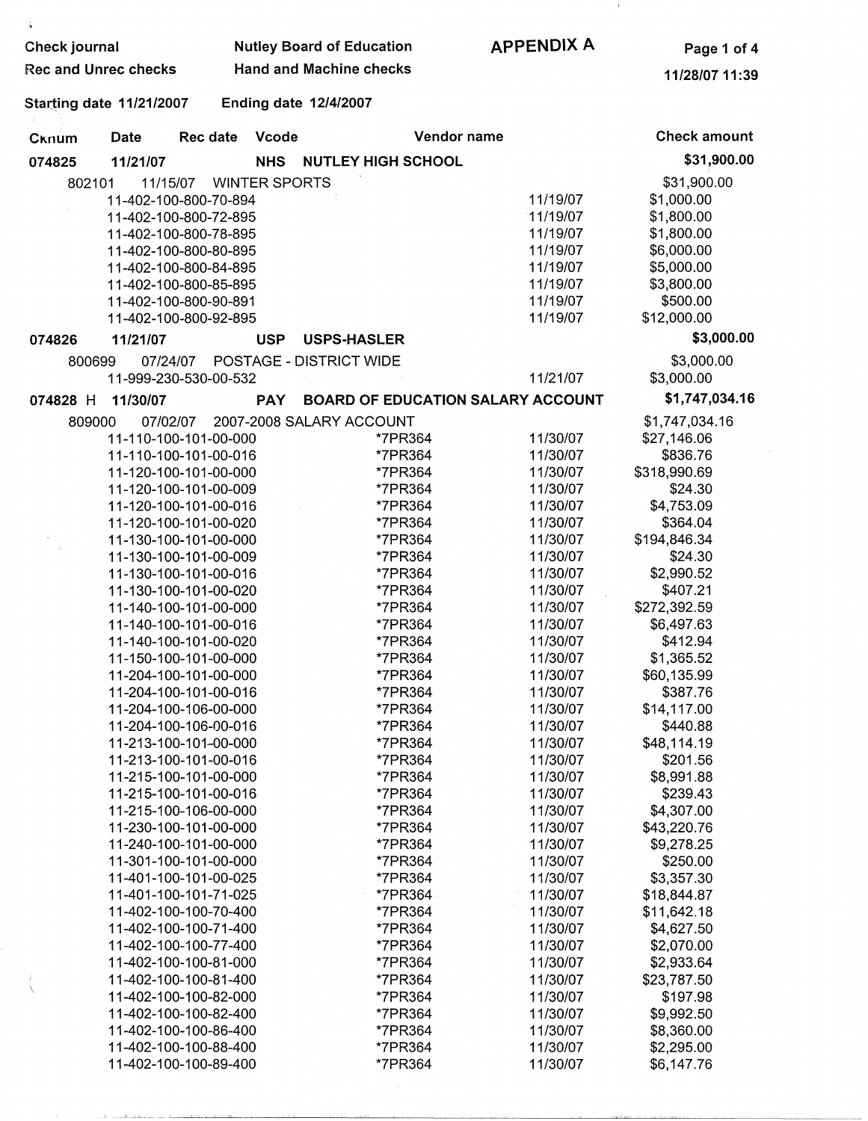| Check journal               |                                 |                                                | <b>Nutley Board of Education</b> | <b>APPENDIX A</b>                        | Page 1 of 4          |                         |
|-----------------------------|---------------------------------|------------------------------------------------|----------------------------------|------------------------------------------|----------------------|-------------------------|
| <b>Rec and Unrec checks</b> |                                 | <b>Hand and Machine checks</b>                 |                                  |                                          | 11/28/07 11:39       |                         |
|                             | <b>Starting date 11/21/2007</b> |                                                |                                  | <b>Ending date 12/4/2007</b>             |                      |                         |
| Cknum                       | Date                            | Rec date                                       | Vcode                            | Vendor name                              |                      | <b>Check amount</b>     |
| 074825                      | 11/21/07                        |                                                | <b>NHS</b>                       | <b>NUTLEY HIGH SCHOOL</b>                |                      | \$31,900.00             |
| 802101                      |                                 | 11/15/07                                       | <b>WINTER SPORTS</b>             |                                          |                      | \$31,900.00             |
|                             |                                 | 11-402-100-800-70-894                          |                                  |                                          | 11/19/07             | \$1,000.00              |
|                             |                                 | 11-402-100-800-72-895                          |                                  |                                          | 11/19/07             | \$1,800.00              |
|                             |                                 | 11-402-100-800-78-895                          |                                  |                                          | 11/19/07             | \$1,800.00              |
|                             |                                 | 11-402-100-800-80-895                          |                                  |                                          | 11/19/07             | \$6,000.00              |
|                             |                                 | 11-402-100-800-84-895                          |                                  |                                          | 11/19/07             | \$5,000.00              |
|                             |                                 | 11-402-100-800-85-895                          |                                  |                                          | 11/19/07             | \$3,800.00              |
|                             |                                 | 11-402-100-800-90-891                          |                                  |                                          | 11/19/07             | \$500.00                |
|                             |                                 | 11-402-100-800-92-895                          |                                  |                                          | 11/19/07             | \$12,000.00             |
| 074826                      | 11/21/07                        |                                                | <b>USP</b>                       | <b>USPS-HASLER</b>                       |                      | \$3,000.00              |
| 800699                      |                                 | 07/24/07                                       |                                  | POSTAGE - DISTRICT WIDE                  |                      | \$3,000.00              |
|                             |                                 | 11-999-230-530-00-532                          |                                  |                                          | 11/21/07             | \$3,000.00              |
| 074828 H                    | 11/30/07                        |                                                | <b>PAY</b>                       | <b>BOARD OF EDUCATION SALARY ACCOUNT</b> |                      | \$1,747,034.16          |
|                             |                                 |                                                |                                  |                                          |                      |                         |
| 809000                      |                                 | 07/02/07                                       |                                  | 2007-2008 SALARY ACCOUNT                 |                      | \$1,747,034.16          |
|                             |                                 | 11-110-100-101-00-000                          |                                  | *7PR364<br>*7PR364                       | 11/30/07<br>11/30/07 | \$27,146.06<br>\$836.76 |
|                             |                                 | 11-110-100-101-00-016<br>11-120-100-101-00-000 |                                  | *7PR364                                  | 11/30/07             | \$318,990.69            |
|                             |                                 | 11-120-100-101-00-009                          |                                  | *7PR364                                  | 11/30/07             | \$24.30                 |
|                             |                                 | 11-120-100-101-00-016                          |                                  | *7PR364                                  | 11/30/07             | \$4,753.09              |
|                             |                                 | 11-120-100-101-00-020                          |                                  | *7PR364                                  | 11/30/07             | \$364.04                |
|                             |                                 | 11-130-100-101-00-000                          |                                  | *7PR364                                  | 11/30/07             | \$194,846.34            |
|                             |                                 | 11-130-100-101-00-009                          |                                  | *7PR364                                  | 11/30/07             | \$24.30                 |
|                             |                                 | 11-130-100-101-00-016                          |                                  | *7PR364                                  | 11/30/07             | \$2,990.52              |
|                             |                                 | 11-130-100-101-00-020                          |                                  | *7PR364                                  | 11/30/07             | \$407.21                |
|                             |                                 | 11-140-100-101-00-000                          |                                  | *7PR364                                  | 11/30/07             | \$272,392.59            |
|                             |                                 | 11-140-100-101-00-016                          |                                  | *7PR364                                  | 11/30/07             | \$6,497.63              |
|                             |                                 | 11-140-100-101-00-020                          |                                  | *7PR364                                  | 11/30/07             | \$412.94                |
|                             |                                 | 11-150-100-101-00-000                          |                                  | *7PR364                                  | 11/30/07             | \$1,365.52              |
|                             |                                 | 11-204-100-101-00-000                          |                                  | *7PR364                                  | 11/30/07             | \$60,135.99             |
|                             |                                 | 11-204-100-101-00-016                          |                                  | *7PR364                                  | 11/30/07             | \$387.76                |
|                             |                                 | 11-204-100-106-00-000                          |                                  | *7PR364                                  | 11/30/07             | \$14,117.00             |
|                             |                                 | 11-204-100-106-00-016                          |                                  | *7PR364                                  | 11/30/07             | \$440.88                |
|                             |                                 | 11-213-100-101-00-000                          |                                  | *7PR364                                  | 11/30/07             | \$48,114.19             |
|                             |                                 | 11-213-100-101-00-016                          |                                  | *7PR364                                  | 11/30/07             | \$201.56                |
|                             |                                 | 11-215-100-101-00-000                          |                                  | *7PR364                                  | 11/30/07             | \$8,991.88              |
|                             |                                 | 11-215-100-101-00-016                          |                                  | *7PR364                                  | 11/30/07             | \$239.43                |
|                             |                                 | 11-215-100-106-00-000                          |                                  | *7PR364                                  | 11/30/07             | \$4,307.00              |
|                             |                                 | 11-230-100-101-00-000                          |                                  | *7PR364                                  | 11/30/07             | \$43,220.76             |
|                             |                                 | 11-240-100-101-00-000                          |                                  | *7PR364                                  | 11/30/07             | \$9,278.25              |
|                             |                                 | 11-301-100-101-00-000<br>11-401-100-101-00-025 |                                  | *7PR364<br>*7PR364                       | 11/30/07<br>11/30/07 | \$250.00<br>\$3,357.30  |
|                             |                                 | 11-401-100-101-71-025                          |                                  | *7PR364                                  | 11/30/07             | \$18,844.87             |
|                             |                                 | 11-402-100-100-70-400                          |                                  | *7PR364                                  | 11/30/07             | \$11,642.18             |
|                             |                                 | 11-402-100-100-71-400                          |                                  | *7PR364                                  | 11/30/07             | \$4,627.50              |
|                             |                                 | 11-402-100-100-77-400                          |                                  | *7PR364                                  | 11/30/07             | \$2,070.00              |
|                             |                                 | 11-402-100-100-81-000                          |                                  | *7PR364                                  | 11/30/07             | \$2,933.64              |
|                             |                                 | 11-402-100-100-81-400                          |                                  | *7PR364                                  | 11/30/07             | \$23,787.50             |
|                             |                                 | 11-402-100-100-82-000                          |                                  | *7PR364                                  | 11/30/07             | \$197.98                |
|                             |                                 | 11-402-100-100-82-400                          |                                  | *7PR364                                  | 11/30/07             | \$9,992.50              |
|                             |                                 | 11-402-100-100-86-400                          |                                  | *7PR364                                  | 11/30/07             | \$8,360.00              |
|                             |                                 | 11-402-100-100-88-400                          |                                  | *7PR364                                  | 11/30/07             | \$2,295.00              |
|                             |                                 | 11-402-100-100-89-400                          |                                  | *7PR364                                  | 11/30/07             | \$6,147.76              |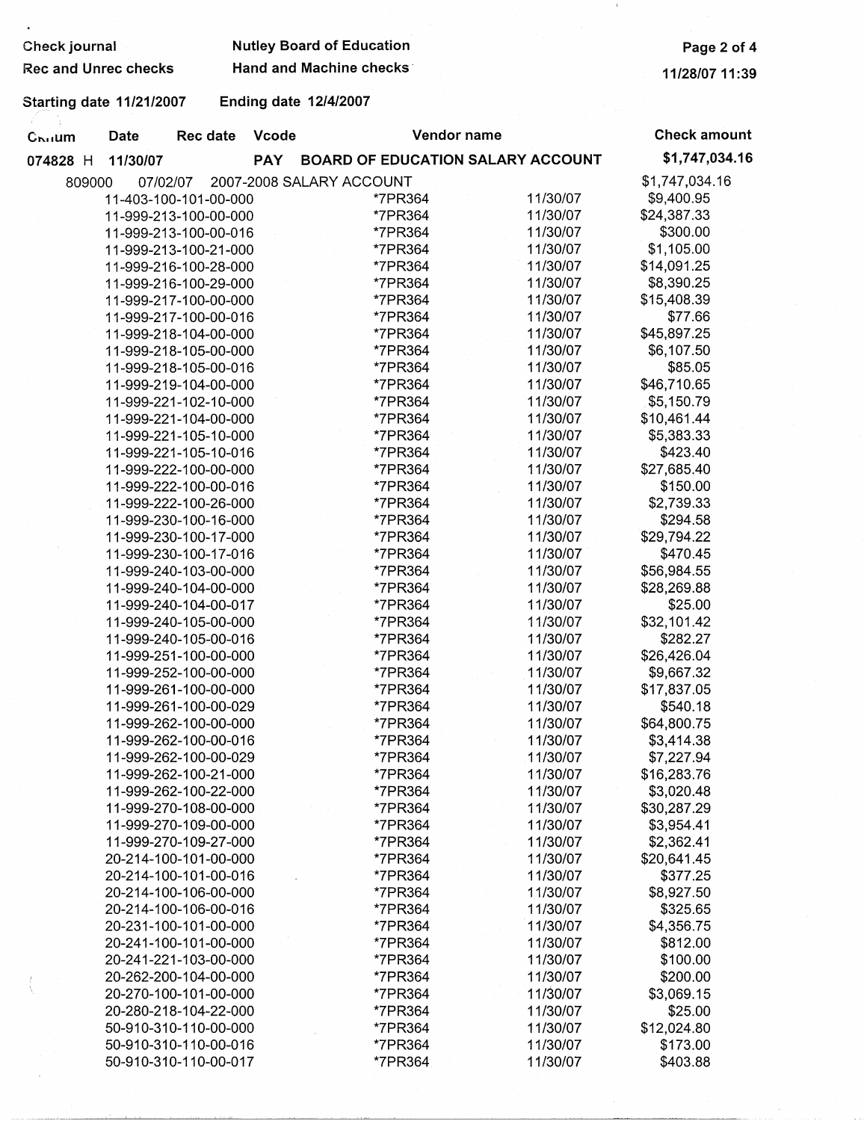| Check journal               |                                 |                         | <b>Nutley Board of Education</b> | Page 2 of 4                           |          |                     |
|-----------------------------|---------------------------------|-------------------------|----------------------------------|---------------------------------------|----------|---------------------|
| <b>Rec and Unrec checks</b> |                                 | Hand and Machine checks | 11/28/07 11:39                   |                                       |          |                     |
|                             | <b>Starting date 11/21/2007</b> |                         |                                  | <b>Ending date 12/4/2007</b>          |          |                     |
| Cruium                      | <b>Date</b>                     | Rec date                | Vcode                            | Vendor name                           |          | <b>Check amount</b> |
| 074828 H                    | 11/30/07                        |                         |                                  | PAY BOARD OF EDUCATION SALARY ACCOUNT |          | \$1,747,034.16      |
|                             | 809000                          | 07/02/07                |                                  | 2007-2008 SALARY ACCOUNT              |          | \$1,747,034.16      |
|                             |                                 | 11-403-100-101-00-000   |                                  | *7PR364                               | 11/30/07 | \$9,400.95          |
|                             |                                 | 11-999-213-100-00-000   |                                  | *7PR364                               | 11/30/07 | \$24,387.33         |
|                             |                                 | 11-999-213-100-00-016   |                                  | *7PR364                               | 11/30/07 | \$300.00            |
|                             |                                 | 11-999-213-100-21-000   |                                  | *7PR364                               | 11/30/07 | \$1,105.00          |
|                             |                                 | 11-999-216-100-28-000   |                                  | *7PR364                               | 11/30/07 | \$14,091.25         |
|                             |                                 | 11-999-216-100-29-000   |                                  | *7PR364                               | 11/30/07 | \$8,390.25          |
|                             |                                 | 11-999-217-100-00-000   |                                  | *7PR364                               | 11/30/07 | \$15,408.39         |
|                             |                                 | 11-999-217-100-00-016   |                                  | *7PR364                               | 11/30/07 | \$77.66             |
|                             |                                 | 11-999-218-104-00-000   |                                  | *7PR364                               | 11/30/07 | \$45,897.25         |
|                             |                                 | 11-999-218-105-00-000   |                                  | *7PR364                               | 11/30/07 | \$6,107.50          |
|                             |                                 | 11-999-218-105-00-016   |                                  | *7PR364                               | 11/30/07 | \$85.05             |
|                             |                                 | 11-999-219-104-00-000   |                                  | *7PR364                               | 11/30/07 | \$46,710.65         |
|                             |                                 | 11-999-221-102-10-000   |                                  | *7PR364                               | 11/30/07 | \$5,150.79          |
|                             |                                 | 11-999-221-104-00-000   |                                  | *7PR364                               | 11/30/07 | \$10,461.44         |
|                             |                                 | 11-999-221-105-10-000   |                                  | *7PR364                               | 11/30/07 | \$5,383.33          |
|                             |                                 | 11-999-221-105-10-016   |                                  | *7PR364                               | 11/30/07 | \$423.40            |
|                             |                                 | 11-999-222-100-00-000   |                                  | *7PR364                               | 11/30/07 | \$27,685.40         |
|                             |                                 | 11-999-222-100-00-016   |                                  | *7PR364                               | 11/30/07 | \$150.00            |
|                             |                                 | 11-999-222-100-26-000   |                                  | *7PR364                               | 11/30/07 | \$2,739.33          |
|                             |                                 | 11-999-230-100-16-000   |                                  | *7PR364                               | 11/30/07 | \$294.58            |
|                             |                                 | 11-999-230-100-17-000   |                                  | *7PR364                               | 11/30/07 | \$29,794.22         |
|                             |                                 | 11-999-230-100-17-016   |                                  | *7PR364                               | 11/30/07 | \$470.45            |
|                             |                                 | 11-999-240-103-00-000   |                                  | *7PR364                               | 11/30/07 | \$56,984.55         |
|                             |                                 | 11-999-240-104-00-000   |                                  | *7PR364                               | 11/30/07 | \$28,269.88         |
|                             |                                 | 11-999-240-104-00-017   |                                  | *7PR364                               | 11/30/07 | \$25.00             |
|                             |                                 | 11-999-240-105-00-000   |                                  | *7PR364                               | 11/30/07 | \$32,101.42         |
|                             |                                 | 11-999-240-105-00-016   |                                  | *7PR364                               | 11/30/07 | \$282.27            |
|                             |                                 | 11-999-251-100-00-000   |                                  | *7PR364                               | 11/30/07 | \$26,426.04         |
|                             |                                 | 11-999-252-100-00-000   |                                  | *7PR364                               | 11/30/07 | \$9,667.32          |
|                             |                                 | 11-999-261-100-00-000   |                                  | *7PR364                               | 11/30/07 | \$17,837.05         |
|                             |                                 | 11-999-261-100-00-029   |                                  | *7PR364                               | 11/30/07 | \$540.18            |
|                             |                                 | 11-999-262-100-00-000   |                                  | *7PR364                               | 11/30/07 | \$64,800.75         |
|                             |                                 | 11-999-262-100-00-016   |                                  | *7PR364                               | 11/30/07 | \$3,414.38          |
|                             |                                 | 11-999-262-100-00-029   |                                  | *7PR364                               | 11/30/07 | \$7,227.94          |
|                             |                                 | 11-999-262-100-21-000   |                                  | *7PR364                               | 11/30/07 | \$16,283.76         |
|                             |                                 | 11-999-262-100-22-000   |                                  | *7PR364                               | 11/30/07 | \$3,020.48          |
|                             |                                 | 11-999-270-108-00-000   |                                  | *7PR364                               | 11/30/07 | \$30,287.29         |
|                             |                                 | 11-999-270-109-00-000   |                                  | *7PR364                               | 11/30/07 | \$3,954.41          |
|                             |                                 | 11-999-270-109-27-000   |                                  | *7PR364                               | 11/30/07 | \$2,362.41          |
|                             |                                 | 20-214-100-101-00-000   |                                  | *7PR364                               | 11/30/07 | \$20,641.45         |
|                             |                                 | 20-214-100-101-00-016   |                                  | *7PR364                               | 11/30/07 | \$377.25            |
|                             |                                 | 20-214-100-106-00-000   |                                  | *7PR364                               | 11/30/07 | \$8,927.50          |
|                             |                                 | 20-214-100-106-00-016   |                                  | *7PR364                               | 11/30/07 | \$325.65            |
|                             |                                 | 20-231-100-101-00-000   |                                  | *7PR364                               | 11/30/07 | \$4,356.75          |
|                             |                                 | 20-241-100-101-00-000   |                                  | *7PR364                               | 11/30/07 | \$812.00            |
|                             |                                 | 20-241-221-103-00-000   |                                  | *7PR364                               | 11/30/07 | \$100.00            |
|                             |                                 | 20-262-200-104-00-000   |                                  | *7PR364                               | 11/30/07 | \$200.00            |
| Ŋ                           |                                 | 20-270-100-101-00-000   |                                  | *7PR364                               | 11/30/07 | \$3,069.15          |
|                             |                                 | 20-280-218-104-22-000   |                                  | *7PR364                               | 11/30/07 | \$25.00             |
|                             |                                 | 50-910-310-110-00-000   |                                  | *7PR364                               | 11/30/07 | \$12,024.80         |
|                             |                                 | 50-910-310-110-00-016   |                                  | *7PR364                               | 11/30/07 | \$173.00            |
|                             |                                 | 50-910-310-110-00-017   |                                  | *7PR364                               | 11/30/07 | \$403.88            |

 $\mathbf{1}$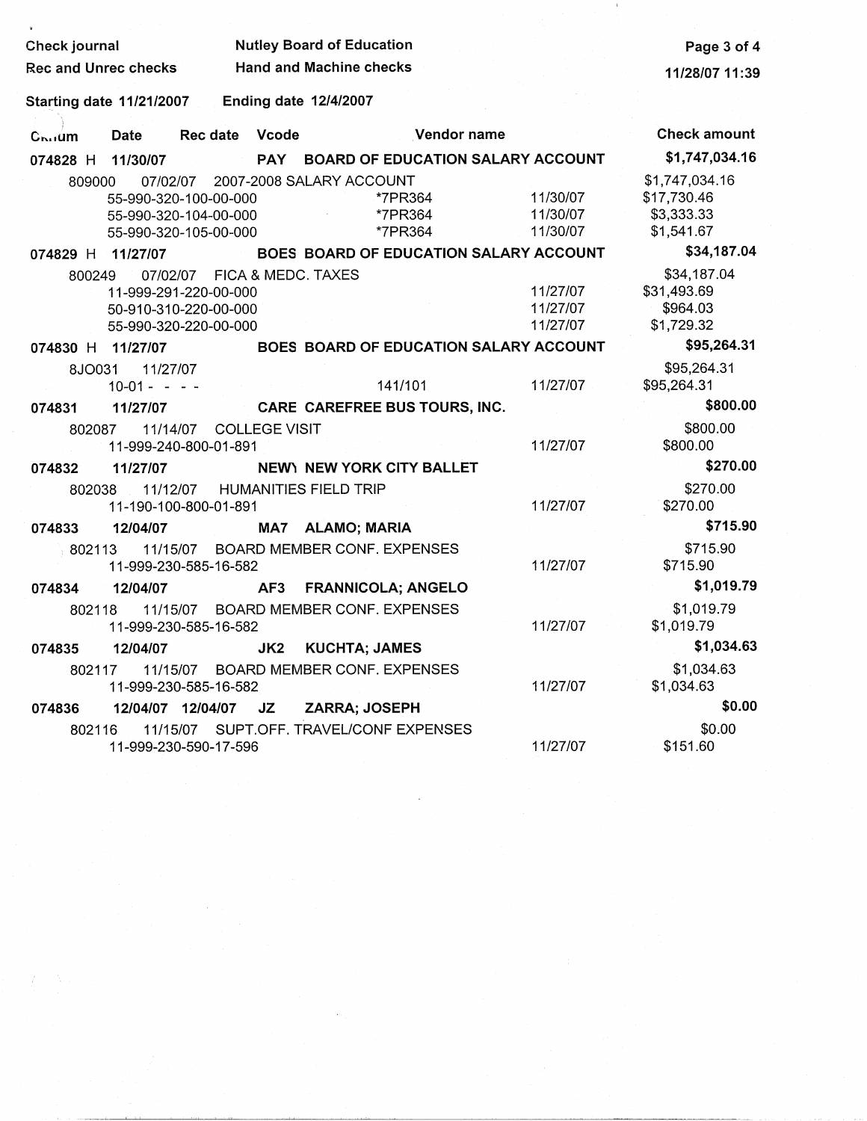| Check journal<br>Rec and Unrec checks |                           |                                                                                     | <b>Nutley Board of Education</b><br><b>Hand and Machine checks</b> | Page 3 of 4<br>11/28/07 11:39                             |                                  |                                                           |
|---------------------------------------|---------------------------|-------------------------------------------------------------------------------------|--------------------------------------------------------------------|-----------------------------------------------------------|----------------------------------|-----------------------------------------------------------|
| <b>Starting date 11/21/2007</b>       |                           |                                                                                     |                                                                    | <b>Ending date 12/4/2007</b>                              |                                  |                                                           |
| $C_{\mathbf{b} \cdot \mathbf{d}}$ um  | Date                      | Rec date Vcode                                                                      |                                                                    | Vendor name                                               |                                  | <b>Check amount</b>                                       |
| 074828 H 11/30/07                     |                           |                                                                                     | <b>PAY</b>                                                         | <b>BOARD OF EDUCATION SALARY ACCOUNT</b>                  |                                  | \$1,747,034.16                                            |
| 809000                                |                           | 07/02/07<br>55-990-320-100-00-000<br>55-990-320-104-00-000<br>55-990-320-105-00-000 |                                                                    | 2007-2008 SALARY ACCOUNT<br>*7PR364<br>*7PR364<br>*7PR364 | 11/30/07<br>11/30/07<br>11/30/07 | \$1,747,034.16<br>\$17,730.46<br>\$3,333.33<br>\$1,541.67 |
| 074829 H 11/27/07                     |                           |                                                                                     |                                                                    | BOES BOARD OF EDUCATION SALARY ACCOUNT                    |                                  | \$34,187.04                                               |
| 800249                                |                           | 07/02/07<br>11-999-291-220-00-000<br>50-910-310-220-00-000<br>55-990-320-220-00-000 |                                                                    | FICA & MEDC. TAXES                                        | 11/27/07<br>11/27/07<br>11/27/07 | \$34,187.04<br>\$31,493.69<br>\$964.03<br>\$1,729.32      |
| 074830 H 11/27/07                     |                           |                                                                                     |                                                                    | BOES BOARD OF EDUCATION SALARY ACCOUNT                    |                                  | \$95,264.31                                               |
| 8JO031                                | 11/27/07<br>$10-01 - - -$ |                                                                                     |                                                                    | 141/101                                                   | 11/27/07                         | \$95,264.31<br>\$95,264.31                                |
| 074831                                | 11/27/07                  |                                                                                     |                                                                    | CARE CAREFREE BUS TOURS, INC.                             |                                  | \$800.00                                                  |
| 802087                                |                           | 11/14/07<br>11-999-240-800-01-891                                                   | <b>COLLEGE VISIT</b>                                               |                                                           | 11/27/07                         | \$800.00<br>\$800.00                                      |
| 074832                                | 11/27/07                  |                                                                                     |                                                                    | NEWY NEW YORK CITY BALLET                                 |                                  | \$270.00                                                  |
| 802038                                | 11/12/07                  | 11-190-100-800-01-891                                                               |                                                                    | <b>HUMANITIES FIELD TRIP</b>                              | 11/27/07                         | \$270.00<br>\$270.00                                      |
| 074833                                | 12/04/07                  |                                                                                     |                                                                    | MA7 ALAMO; MARIA                                          |                                  | \$715.90                                                  |
| 802113                                |                           | 11/15/07<br>11-999-230-585-16-582                                                   |                                                                    | <b>BOARD MEMBER CONF. EXPENSES</b>                        | 11/27/07                         | \$715.90<br>\$715.90                                      |
| 074834                                | 12/04/07                  |                                                                                     | AF3                                                                | <b>FRANNICOLA; ANGELO</b>                                 |                                  | \$1,019.79                                                |
| 802118                                |                           | 11-999-230-585-16-582                                                               |                                                                    | 11/15/07 BOARD MEMBER CONF. EXPENSES                      | 11/27/07                         | \$1,019.79<br>\$1,019.79                                  |
| 074835                                | 12/04/07                  |                                                                                     | JK2                                                                | <b>KUCHTA; JAMES</b>                                      |                                  | \$1,034.63                                                |
| 802117                                |                           | 11-999-230-585-16-582                                                               |                                                                    | 11/15/07 BOARD MEMBER CONF. EXPENSES                      | 11/27/07                         | \$1,034.63<br>\$1,034.63                                  |
| 074836                                |                           | 12/04/07 12/04/07                                                                   | JZ                                                                 | ZARRA; JOSEPH                                             |                                  | \$0.00                                                    |
| 802116                                |                           | 11-999-230-590-17-596                                                               |                                                                    | 11/15/07 SUPT.OFF. TRAVEL/CONF EXPENSES                   | 11/27/07                         | \$0.00<br>\$151.60                                        |

 $\epsilon$ 

 $\pm 1$